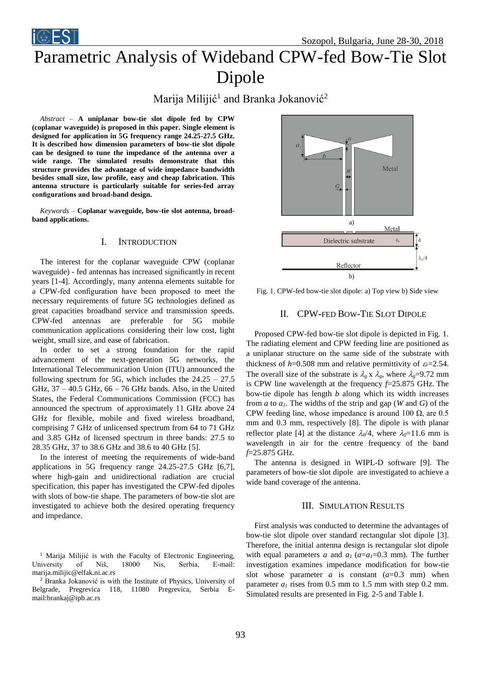Sozopol, Bulgaria, June 28-30, 2018

# Parametric Analysis of Wideband CPW-fed Bow-Tie Slot Dipole

## Marija Milijić<sup>1</sup> and Branka Jokanović<sup>2</sup>

*Abstract –* **A uniplanar bow-tie slot dipole fed by CPW (coplanar waveguide) is proposed in this paper. Single element is designed for application in 5G frequency range 24.25-27.5 GHz. It is described how dimension parameters of bow-tie slot dipole can be designed to tune the impedance of the antenna over a wide range. The simulated results demonstrate that this structure provides the advantage of wide impedance bandwidth besides small size, low profile, easy and cheap fabrication. This antenna structure is particularly suitable for series-fed array configurations and broad-band design.** 

*Keywords –* **Coplanar waveguide, bow-tie slot antenna, broadband applications.**

### I. INTRODUCTION

The interest for the coplanar waveguide CPW (coplanar waveguide) - fed antennas has increased significantly in recent years [1-4]. Accordingly, many antenna elements suitable for a CPW-fed configuration have been proposed to meet the necessary requirements of future 5G technologies defined as great capacities broadband service and transmission speeds. CPW-fed antennas are preferable for 5G mobile communication applications considering their low cost, light weight, small size, and ease of fabrication.

In order to set a strong foundation for the rapid advancement of the next-generation 5G networks, the International Telecommunication Union (ITU) announced the following spectrum for 5G, which includes the  $24.25 - 27.5$ GHz,  $37 - 40.5$  GHz,  $66 - 76$  GHz bands. Also, in the United States, the Federal Communications Commission (FCC) has announced the spectrum of approximately 11 GHz above 24 GHz for flexible, mobile and fixed wireless broadband, comprising 7 GHz of unlicensed spectrum from 64 to 71 GHz and 3.85 GHz of licensed spectrum in three bands: 27.5 to 28.35 GHz, 37 to 38.6 GHz and 38.6 to 40 GHz [5].

In the interest of meeting the requirements of wide-band applications in 5G frequency range 24.25-27.5 GHz [6,7], where high-gain and unidirectional radiation are crucial specification, this paper has investigated the CPW-fed dipoles with slots of bow-tie shape. The parameters of bow-tie slot are investigated to achieve both the desired operating frequency and impedance.



Fig. 1. CPW-fed bow-tie slot dipole: a) Top view b) Side view

### II. CPW-FED BOW-TIE SLOT DIPOLE

Proposed CPW-fed bow-tie slot dipole is depicted in Fig. 1. The radiating element and CPW feeding line are positioned as a uniplanar structure on the same side of the substrate with thickness of  $h=0.508$  mm and relative permittivity of  $\varepsilon_r=2.54$ . The overall size of the substrate is  $\lambda_g$  x  $\lambda_g$ , where  $\lambda_g$ =9.72 mm is CPW line wavelength at the frequency *f*=25.875 GHz. The bow-tie dipole has length *b* along which its width increases from *a* to *a1*. The widths of the strip and gap (*W* and *G*) of the CPW feeding line, whose impedance is around 100  $\Omega$ , are 0.5 mm and 0.3 mm, respectively [8]. The dipole is with planar reflector plate [4] at the distance  $\lambda_0/4$ , where  $\lambda_0=11.6$  mm is wavelength in air for the centre frequency of the band *f*=25.875 GHz.

The antenna is designed in WIPL-D software [9]. The parameters of bow-tie slot dipole are investigated to achieve a wide band coverage of the antenna.

### III. SIMULATION RESULTS

First analysis was conducted to determine the advantages of bow-tie slot dipole over standard rectangular slot dipole [3]. Therefore, the initial antenna design is rectangular slot dipole with equal parameters *a* and  $a_1$  ( $a=a_1=0.3$  mm). The further investigation examines impedance modification for bow-tie slot whose parameter  $a$  is constant  $(a=0.3 \text{ mm})$  when parameter  $a<sub>l</sub>$  rises from 0.5 mm to 1.5 mm with step 0.2 mm. Simulated results are presented in Fig. 2-5 and Table I.

<sup>&</sup>lt;sup>1</sup> Marija Milijić is with the Faculty of Electronic Engineering, University of Niš, 18000 Nis, Serbia, E-mail: marija.milijic@elfak.ni.ac.rs

<sup>2</sup> Branka Jokanović is with the Institute of Physics, University of Belgrade, Pregrevica 118, 11080 Pregrevica, Serbia Email:brankaj@ipb.ac.rs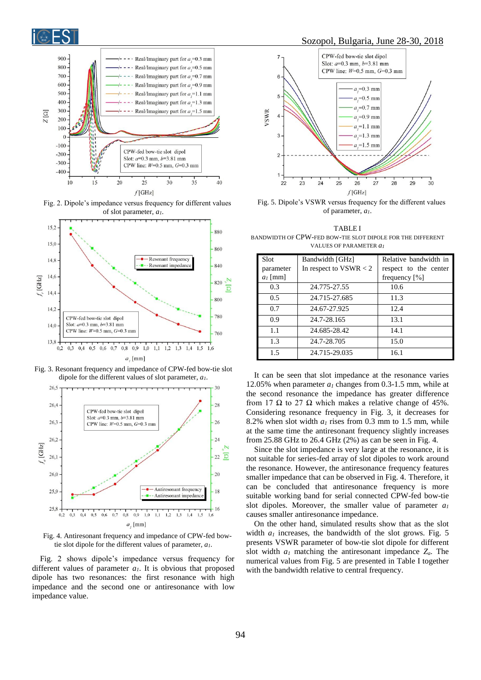



Fig. 2. Dipole's impedance versus frequency for different values of slot parameter, *a1*.



Fig. 3. Resonant frequency and impedance of CPW-fed bow-tie slot dipole for the different values of slot parameter, *a1*.



Fig. 4. Antiresonant frequency and impedance of CPW-fed bowtie slot dipole for the different values of parameter, *a1*.

Fig. 2 shows dipole's impedance versus frequency for different values of parameter *a1*. It is obvious that proposed dipole has two resonances: the first resonance with high impedance and the second one or antiresonance with low impedance value.



Fig. 5. Dipole's VSWR versus frequency for the different values of parameter, *a1*.

TABLE I BANDWIDTH OF CPW-FED BOW-TIE SLOT DIPOLE FOR THE DIFFERENT VALUES OF PARAMETER *a<sup>1</sup>*

| Slot       | Bandwidth [GHz]          | Relative bandwidth in |
|------------|--------------------------|-----------------------|
|            |                          |                       |
| parameter  | In respect to $VSWR < 2$ | respect to the center |
| $a_l$ [mm] |                          | frequency $[\%]$      |
| 0.3        | 24.775-27.55             | 10.6                  |
| 0.5        | 24.715-27.685            | 11.3                  |
| 0.7        | 24.67-27.925             | 12.4                  |
| 0.9        | 24.7-28.165              | 13.1                  |
| 1.1        | 24.685-28.42             | 14.1                  |
| 1.3        | 24.7-28.705              | 15.0                  |
| 1.5        | 24.715-29.035            | 16.1                  |

It can be seen that slot impedance at the resonance varies 12.05% when parameter *a<sup>1</sup>* changes from 0.3-1.5 mm, while at the second resonance the impedance has greater difference from 17  $\Omega$  to 27  $\Omega$  which makes a relative change of 45%. Considering resonance frequency in Fig. 3, it decreases for 8.2% when slot width *a<sup>1</sup>* rises from 0.3 mm to 1.5 mm, while at the same time the antiresonant frequency slightly increases from 25.88 GHz to 26.4 GHz (2%) as can be seen in Fig. 4.

Since the slot impedance is very large at the resonance, it is not suitable for series-fed array of slot dipoles to work around the resonance. However, the antiresonance frequency features smaller impedance that can be observed in Fig. 4. Therefore, it can be concluded that antiresonance frequency is more suitable working band for serial connected CPW-fed bow-tie slot dipoles. Moreover, the smaller value of parameter *a<sup>1</sup>* causes smaller antiresonance impedance.

On the other hand, simulated results show that as the slot width *a<sup>1</sup>* increases, the bandwidth of the slot grows. Fig. 5 presents VSWR parameter of bow-tie slot dipole for different slot width *a<sup>1</sup>* matching the antiresonant impedance *Za*. The numerical values from Fig. 5 are presented in Table I together with the bandwidth relative to central frequency.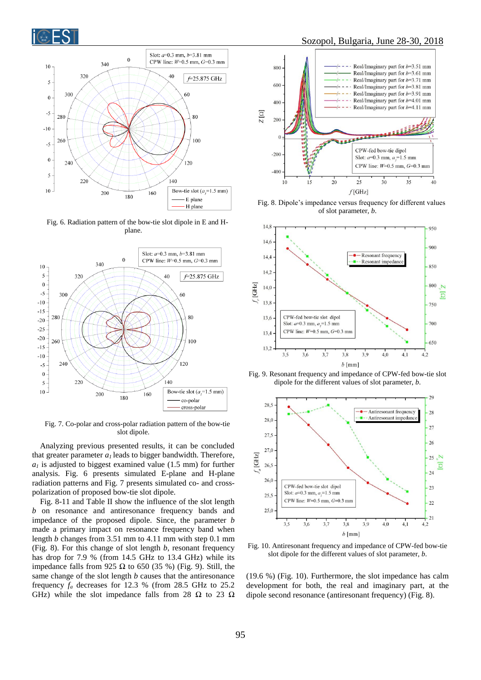



Fig. 6. Radiation pattern of the bow-tie slot dipole in E and Hplane.



Fig. 7. Co-polar and cross-polar radiation pattern of the bow-tie slot dipole.

Analyzing previous presented results, it can be concluded that greater parameter  $a<sub>l</sub>$  leads to bigger bandwidth. Therefore,  $a<sub>l</sub>$  is adjusted to biggest examined value (1.5 mm) for further analysis. Fig. 6 presents simulated E-plane and H-plane radiation patterns and Fig. 7 presents simulated co- and crosspolarization of proposed bow-tie slot dipole.

Fig. 8-11 and Table II show the influence of the slot length *b* on resonance and antiresonance frequency bands and impedance of the proposed dipole. Since, the parameter *b* made a primary impact on resonance frequency band when length *b* changes from 3.51 mm to 4.11 mm with step 0.1 mm (Fig. 8). For this change of slot length *b*, resonant frequency has drop for 7.9 % (from 14.5 GHz to 13.4 GHz) while its impedance falls from 925 Ω to 650 (35 %) (Fig. 9). Still, the same change of the slot length *b* causes that the antiresonance frequency *f<sup>a</sup>* decreases for 12.3 % (from 28.5 GHz to 25.2 GHz) while the slot impedance falls from 28 Ω to 23 Ω

### Sozopol, Bulgaria, June 28-30, 2018



Fig. 8. Dipole's impedance versus frequency for different values of slot parameter, *b*.



Fig. 9. Resonant frequency and impedance of CPW-fed bow-tie slot dipole for the different values of slot parameter, *b*.



Fig. 10. Antiresonant frequency and impedance of CPW-fed bow-tie slot dipole for the different values of slot parameter, *b*.

(19.6 %) (Fig. 10). Furthermore, the slot impedance has calm development for both, the real and imaginary part, at the dipole second resonance (antiresonant frequency) (Fig. 8).